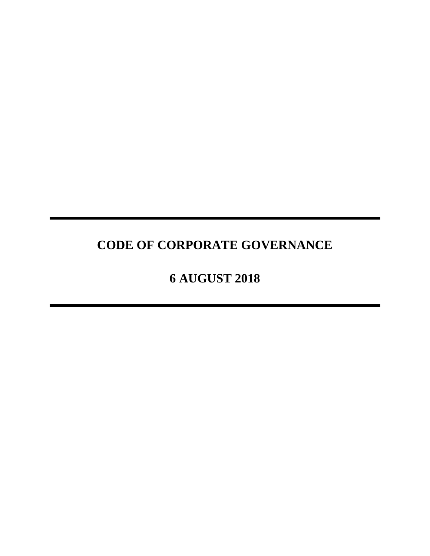# **CODE OF CORPORATE GOVERNANCE**

# **6 AUGUST 2018**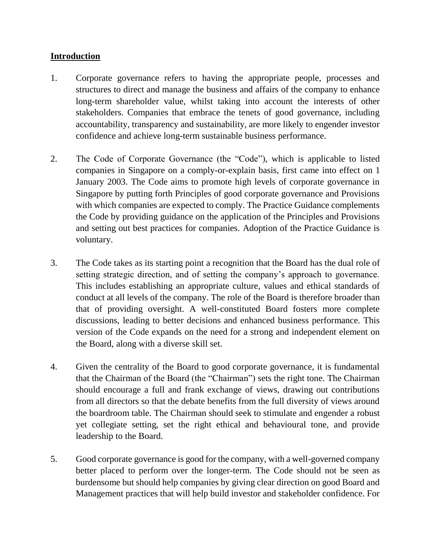#### **Introduction**

- 1. Corporate governance refers to having the appropriate people, processes and structures to direct and manage the business and affairs of the company to enhance long-term shareholder value, whilst taking into account the interests of other stakeholders. Companies that embrace the tenets of good governance, including accountability, transparency and sustainability, are more likely to engender investor confidence and achieve long-term sustainable business performance.
- 2. The Code of Corporate Governance (the "Code"), which is applicable to listed companies in Singapore on a comply-or-explain basis, first came into effect on 1 January 2003. The Code aims to promote high levels of corporate governance in Singapore by putting forth Principles of good corporate governance and Provisions with which companies are expected to comply. The Practice Guidance complements the Code by providing guidance on the application of the Principles and Provisions and setting out best practices for companies. Adoption of the Practice Guidance is voluntary.
- 3. The Code takes as its starting point a recognition that the Board has the dual role of setting strategic direction, and of setting the company's approach to governance. This includes establishing an appropriate culture, values and ethical standards of conduct at all levels of the company. The role of the Board is therefore broader than that of providing oversight. A well-constituted Board fosters more complete discussions, leading to better decisions and enhanced business performance. This version of the Code expands on the need for a strong and independent element on the Board, along with a diverse skill set.
- 4. Given the centrality of the Board to good corporate governance, it is fundamental that the Chairman of the Board (the "Chairman") sets the right tone. The Chairman should encourage a full and frank exchange of views, drawing out contributions from all directors so that the debate benefits from the full diversity of views around the boardroom table. The Chairman should seek to stimulate and engender a robust yet collegiate setting, set the right ethical and behavioural tone, and provide leadership to the Board.
- 5. Good corporate governance is good for the company, with a well-governed company better placed to perform over the longer-term. The Code should not be seen as burdensome but should help companies by giving clear direction on good Board and Management practices that will help build investor and stakeholder confidence. For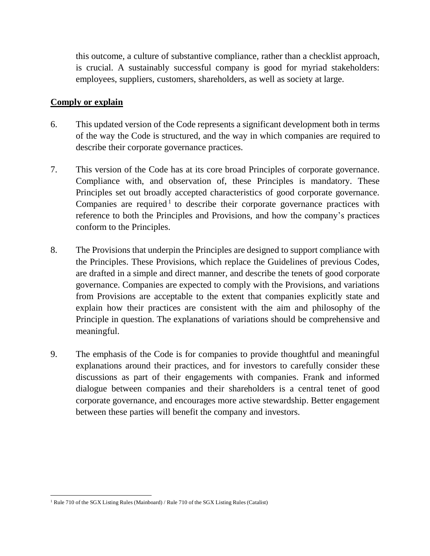this outcome, a culture of substantive compliance, rather than a checklist approach, is crucial. A sustainably successful company is good for myriad stakeholders: employees, suppliers, customers, shareholders, as well as society at large.

#### **Comply or explain**

- 6. This updated version of the Code represents a significant development both in terms of the way the Code is structured, and the way in which companies are required to describe their corporate governance practices.
- 7. This version of the Code has at its core broad Principles of corporate governance. Compliance with, and observation of, these Principles is mandatory. These Principles set out broadly accepted characteristics of good corporate governance. Companies are required<sup>1</sup> to describe their corporate governance practices with reference to both the Principles and Provisions, and how the company's practices conform to the Principles.
- 8. The Provisions that underpin the Principles are designed to support compliance with the Principles. These Provisions, which replace the Guidelines of previous Codes, are drafted in a simple and direct manner, and describe the tenets of good corporate governance. Companies are expected to comply with the Provisions, and variations from Provisions are acceptable to the extent that companies explicitly state and explain how their practices are consistent with the aim and philosophy of the Principle in question. The explanations of variations should be comprehensive and meaningful.
- 9. The emphasis of the Code is for companies to provide thoughtful and meaningful explanations around their practices, and for investors to carefully consider these discussions as part of their engagements with companies. Frank and informed dialogue between companies and their shareholders is a central tenet of good corporate governance, and encourages more active stewardship. Better engagement between these parties will benefit the company and investors.

 $\overline{\phantom{a}}$ <sup>1</sup> Rule 710 of the SGX Listing Rules (Mainboard) / Rule 710 of the SGX Listing Rules (Catalist)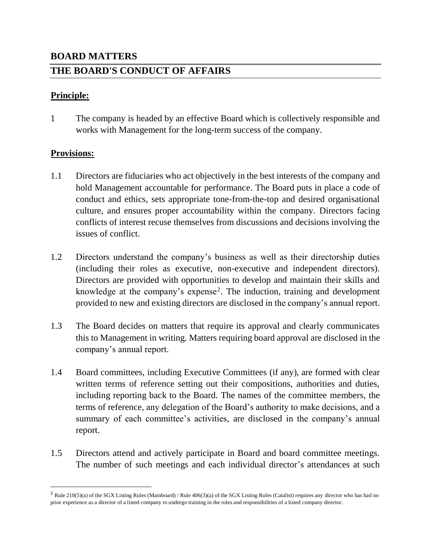# **BOARD MATTERS THE BOARD'S CONDUCT OF AFFAIRS**

#### **Principle:**

1 The company is headed by an effective Board which is collectively responsible and works with Management for the long-term success of the company.

#### **Provisions:**

 $\overline{a}$ 

- 1.1 Directors are fiduciaries who act objectively in the best interests of the company and hold Management accountable for performance. The Board puts in place a code of conduct and ethics, sets appropriate tone-from-the-top and desired organisational culture, and ensures proper accountability within the company. Directors facing conflicts of interest recuse themselves from discussions and decisions involving the issues of conflict.
- 1.2 Directors understand the company's business as well as their directorship duties (including their roles as executive, non-executive and independent directors). Directors are provided with opportunities to develop and maintain their skills and knowledge at the company's expense<sup>2</sup>. The induction, training and development provided to new and existing directors are disclosed in the company's annual report.
- 1.3 The Board decides on matters that require its approval and clearly communicates this to Management in writing. Matters requiring board approval are disclosed in the company's annual report.
- 1.4 Board committees, including Executive Committees (if any), are formed with clear written terms of reference setting out their compositions, authorities and duties, including reporting back to the Board. The names of the committee members, the terms of reference, any delegation of the Board's authority to make decisions, and a summary of each committee's activities, are disclosed in the company's annual report.
- 1.5 Directors attend and actively participate in Board and board committee meetings. The number of such meetings and each individual director's attendances at such

<sup>&</sup>lt;sup>2</sup> Rule 210(5)(a) of the SGX Listing Rules (Mainboard) / Rule 406(3)(a) of the SGX Listing Rules (Catalist) requires any director who has had no prior experience as a director of a listed company to undergo training in the roles and responsibilities of a listed company director.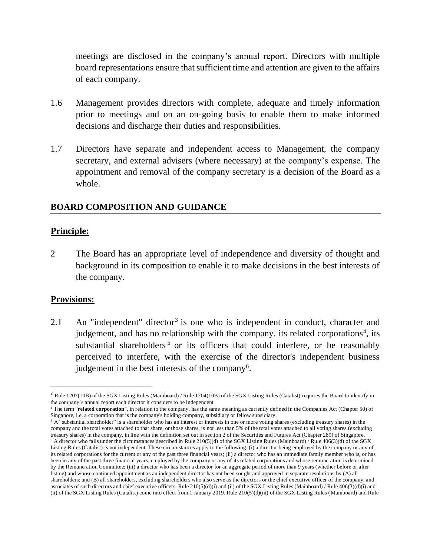meetings are disclosed in the company's annual report. Directors with multiple board representations ensure that sufficient time and attention are given to the affairs of each company.

- 1.6 Management provides directors with complete, adequate and timely information prior to meetings and on an on-going basis to enable them to make informed decisions and discharge their duties and responsibilities.
- 1.7 Directors have separate and independent access to Management, the company secretary, and external advisers (where necessary) at the company's expense. The appointment and removal of the company secretary is a decision of the Board as a whole.

### **BOARD COMPOSITION AND GUIDANCE**

#### **Principle:**

2 The Board has an appropriate level of independence and diversity of thought and background in its composition to enable it to make decisions in the best interests of the company.

#### **Provisions:**

 $\overline{\phantom{a}}$ 

2.1 An "independent" director<sup>3</sup> is one who is independent in conduct, character and judgement, and has no relationship with the company, its related corporations<sup>4</sup>, its substantial shareholders<sup>5</sup> or its officers that could interfere, or be reasonably perceived to interfere, with the exercise of the director's independent business judgement in the best interests of the company<sup>6</sup>.

<sup>&</sup>lt;sup>3</sup> Rule 1207(10B) of the SGX Listing Rules (Mainboard) / Rule 1204(10B) of the SGX Listing Rules (Catalist) requires the Board to identify in the company's annual report each director it considers to be independent.

<sup>4</sup> The term "**related corporation**", in relation to the company, has the same meaning as currently defined in the Companies Act (Chapter 50) of Singapore, i.e. a corporation that is the company's holding company, subsidiary or fellow subsidiary.

<sup>5</sup> A "substantial shareholder" is a shareholder who has an interest or interests in one or more voting shares (excluding treasury shares) in the company and the total votes attached to that share, or those shares, is not less than 5% of the total votes attached to all voting shares (excluding treasury shares) in the company, in line with the definition set out in section 2 of the Securities and Futures Act (Chapter 289) of Singapore. <sup>6</sup> A director who falls under the circumstances described in Rule 210(5)(d) of the SGX Listing Rules (Mainboard) / Rule 406(3)(d) of the SGX Listing Rules (Catalist) is not independent. These circumstances apply to the following: (i) a director being employed by the company or any of its related corporations for the current or any of the past three financial years; (ii) a director who has an immediate family member who is, or has been in any of the past three financial years, employed by the company or any of its related corporations and whose remuneration is determined by the Remuneration Committee; (iii) a director who has been a director for an aggregate period of more than 9 years (whether before or after listing) and whose continued appointment as an independent director has not been sought and approved in separate resolutions by (A) all shareholders; and (B) all shareholders, excluding shareholders who also serve as the directors or the chief executive officer of the company, and associates of such directors and chief executive officers. Rule 210(5)(d)(i) and (ii) of the SGX Listing Rules (Mainboard) / Rule 406(3)(d)(i) and (ii) of the SGX Listing Rules (Catalist) come into effect from 1 January 2019. Rule 210(5)(d)(iii) of the SGX Listing Rules (Mainboard) and Rule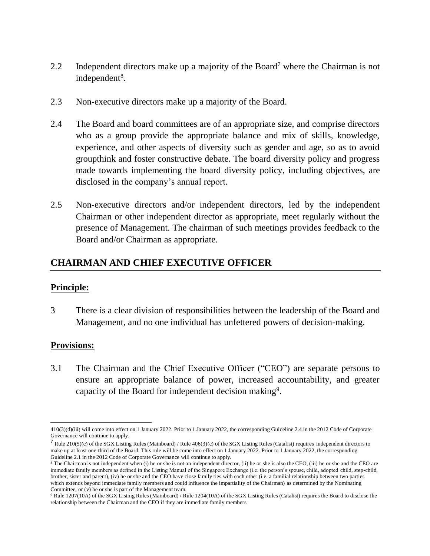- 2.2 Independent directors make up a majority of the Board<sup>7</sup> where the Chairman is not independent<sup>8</sup>.
- 2.3 Non-executive directors make up a majority of the Board.
- 2.4 The Board and board committees are of an appropriate size, and comprise directors who as a group provide the appropriate balance and mix of skills, knowledge, experience, and other aspects of diversity such as gender and age, so as to avoid groupthink and foster constructive debate. The board diversity policy and progress made towards implementing the board diversity policy, including objectives, are disclosed in the company's annual report.
- 2.5 Non-executive directors and/or independent directors, led by the independent Chairman or other independent director as appropriate, meet regularly without the presence of Management. The chairman of such meetings provides feedback to the Board and/or Chairman as appropriate.

## **CHAIRMAN AND CHIEF EXECUTIVE OFFICER**

#### **Principle:**

3 There is a clear division of responsibilities between the leadership of the Board and Management, and no one individual has unfettered powers of decision-making.

#### **Provisions:**

3.1 The Chairman and the Chief Executive Officer ("CEO") are separate persons to ensure an appropriate balance of power, increased accountability, and greater capacity of the Board for independent decision making<sup>9</sup>.

 $\overline{a}$ 410(3)(d)(iii) will come into effect on 1 January 2022. Prior to 1 January 2022, the corresponding Guideline 2.4 in the 2012 Code of Corporate Governance will continue to apply.

<sup>&</sup>lt;sup>7</sup> Rule 210(5)(c) of the SGX Listing Rules (Mainboard) / Rule 406(3)(c) of the SGX Listing Rules (Catalist) requires independent directors to make up at least one-third of the Board. This rule will be come into effect on 1 January 2022. Prior to 1 January 2022, the corresponding Guideline 2.1 in the 2012 Code of Corporate Governance will continue to apply.

<sup>8</sup> The Chairman is not independent when (i) he or she is not an independent director, (ii) he or she is also the CEO, (iii) he or she and the CEO are immediate family members as defined in the Listing Manual of the Singapore Exchange (i.e. the person's spouse, child, adopted child, step-child, brother, sister and parent), (iv) he or she and the CEO have close family ties with each other (i.e. a familial relationship between two parties which extends beyond immediate family members and could influence the impartiality of the Chairman) as determined by the Nominating Committee, or (v) he or she is part of the Management team.

<sup>9</sup> Rule 1207(10A) of the SGX Listing Rules (Mainboard) / Rule 1204(10A) of the SGX Listing Rules (Catalist) requires the Board to disclose the relationship between the Chairman and the CEO if they are immediate family members.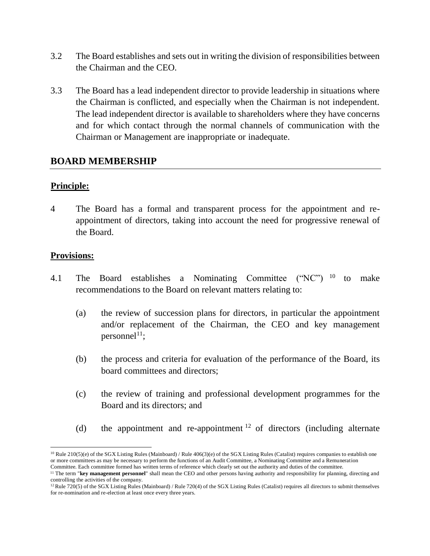- 3.2 The Board establishes and sets out in writing the division of responsibilities between the Chairman and the CEO.
- 3.3 The Board has a lead independent director to provide leadership in situations where the Chairman is conflicted, and especially when the Chairman is not independent. The lead independent director is available to shareholders where they have concerns and for which contact through the normal channels of communication with the Chairman or Management are inappropriate or inadequate.

#### **BOARD MEMBERSHIP**

#### **Principle:**

4 The Board has a formal and transparent process for the appointment and reappointment of directors, taking into account the need for progressive renewal of the Board.

- 4.1 The Board establishes a Nominating Committee ("NC") <sup>10</sup> to make recommendations to the Board on relevant matters relating to:
	- (a) the review of succession plans for directors, in particular the appointment and/or replacement of the Chairman, the CEO and key management personnel<sup>11</sup>;
	- (b) the process and criteria for evaluation of the performance of the Board, its board committees and directors;
	- (c) the review of training and professional development programmes for the Board and its directors; and
	- (d) the appointment and re-appointment  $12$  of directors (including alternate

 $\overline{\phantom{a}}$ <sup>10</sup> Rule 210(5)(e) of the SGX Listing Rules (Mainboard) / Rule 406(3)(e) of the SGX Listing Rules (Catalist) requires companies to establish one or more committees as may be necessary to perform the functions of an Audit Committee, a Nominating Committee and a Remuneration

Committee. Each committee formed has written terms of reference which clearly set out the authority and duties of the committee.

<sup>&</sup>lt;sup>11</sup> The term "key management personnel" shall mean the CEO and other persons having authority and responsibility for planning, directing and controlling the activities of the company.

<sup>&</sup>lt;sup>12</sup>Rule 720(5) of the SGX Listing Rules (Mainboard) / Rule 720(4) of the SGX Listing Rules (Catalist) requires all directors to submit themselves for re-nomination and re-election at least once every three years.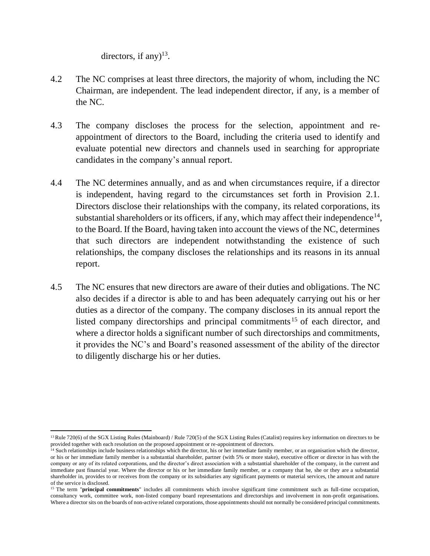directors, if any $)^{13}$ .

- 4.2 The NC comprises at least three directors, the majority of whom, including the NC Chairman, are independent. The lead independent director, if any, is a member of the NC.
- 4.3 The company discloses the process for the selection, appointment and reappointment of directors to the Board, including the criteria used to identify and evaluate potential new directors and channels used in searching for appropriate candidates in the company's annual report.
- 4.4 The NC determines annually, and as and when circumstances require, if a director is independent, having regard to the circumstances set forth in Provision 2.1. Directors disclose their relationships with the company, its related corporations, its substantial shareholders or its officers, if any, which may affect their independence<sup>14</sup>, to the Board. If the Board, having taken into account the views of the NC, determines that such directors are independent notwithstanding the existence of such relationships, the company discloses the relationships and its reasons in its annual report.
- 4.5 The NC ensures that new directors are aware of their duties and obligations. The NC also decides if a director is able to and has been adequately carrying out his or her duties as a director of the company. The company discloses in its annual report the listed company directorships and principal commitments <sup>15</sup> of each director, and where a director holds a significant number of such directorships and commitments, it provides the NC's and Board's reasoned assessment of the ability of the director to diligently discharge his or her duties.

 $\overline{a}$ <sup>13</sup> Rule 720(6) of the SGX Listing Rules (Mainboard) / Rule 720(5) of the SGX Listing Rules (Catalist) requires key information on directors to be provided together with each resolution on the proposed appointment or re-appointment of directors.

 $14$  Such relationships include business relationships which the director, his or her immediate family member, or an organisation which the director, or his or her immediate family member is a substantial shareholder, partner (with 5% or more stake), executive officer or director in has with the company or any of its related corporations, and the director's direct association with a substantial shareholder of the company, in the current and immediate past financial year. Where the director or his or her immediate family member, or a company that he, she or they are a substantial shareholder in, provides to or receives from the company or its subsidiaries any significant payments or material services, the amount and nature of the service is disclosed.

<sup>&</sup>lt;sup>15</sup> The term "**principal commitments**" includes all commitments which involve significant time commitment such as full-time occupation, consultancy work, committee work, non-listed company board representations and directorships and involvement in non-profit organisations. Where a director sits on the boards of non-active related corporations, those appointments should not normally be considered principal commitments.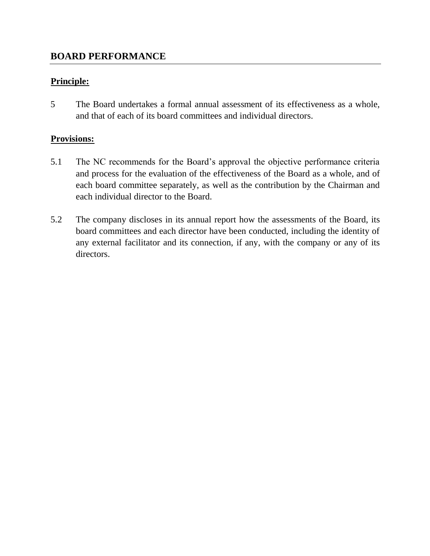### **Principle:**

5 The Board undertakes a formal annual assessment of its effectiveness as a whole, and that of each of its board committees and individual directors.

- 5.1 The NC recommends for the Board's approval the objective performance criteria and process for the evaluation of the effectiveness of the Board as a whole, and of each board committee separately, as well as the contribution by the Chairman and each individual director to the Board.
- 5.2 The company discloses in its annual report how the assessments of the Board, its board committees and each director have been conducted, including the identity of any external facilitator and its connection, if any, with the company or any of its directors.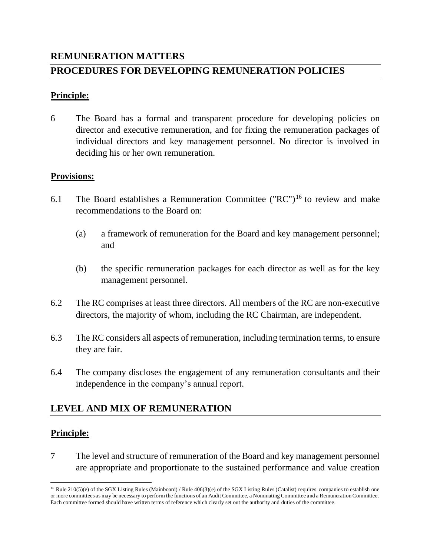# **REMUNERATION MATTERS PROCEDURES FOR DEVELOPING REMUNERATION POLICIES**

#### **Principle:**

6 The Board has a formal and transparent procedure for developing policies on director and executive remuneration, and for fixing the remuneration packages of individual directors and key management personnel. No director is involved in deciding his or her own remuneration.

#### **Provisions:**

- 6.1 The Board establishes a Remuneration Committee  $("RC")^{16}$  to review and make recommendations to the Board on:
	- (a) a framework of remuneration for the Board and key management personnel; and
	- (b) the specific remuneration packages for each director as well as for the key management personnel.
- 6.2 The RC comprises at least three directors. All members of the RC are non-executive directors, the majority of whom, including the RC Chairman, are independent.
- 6.3 The RC considers all aspects of remuneration, including termination terms, to ensure they are fair.
- 6.4 The company discloses the engagement of any remuneration consultants and their independence in the company's annual report.

# **LEVEL AND MIX OF REMUNERATION**

#### **Principle:**

7 The level and structure of remuneration of the Board and key management personnel are appropriate and proportionate to the sustained performance and value creation

 $\overline{\phantom{a}}$ <sup>16</sup> Rule 210(5)(e) of the SGX Listing Rules (Mainboard) / Rule 406(3)(e) of the SGX Listing Rules (Catalist) requires companies to establish one or more committees as may be necessary to perform the functions of an Audit Committee, a Nominating Committee and a Remuneration Committee. Each committee formed should have written terms of reference which clearly set out the authority and duties of the committee.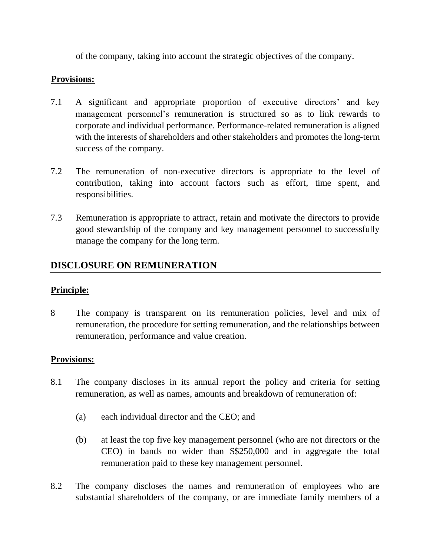of the company, taking into account the strategic objectives of the company.

### **Provisions:**

- 7.1 A significant and appropriate proportion of executive directors' and key management personnel's remuneration is structured so as to link rewards to corporate and individual performance. Performance-related remuneration is aligned with the interests of shareholders and other stakeholders and promotes the long-term success of the company.
- 7.2 The remuneration of non-executive directors is appropriate to the level of contribution, taking into account factors such as effort, time spent, and responsibilities.
- 7.3 Remuneration is appropriate to attract, retain and motivate the directors to provide good stewardship of the company and key management personnel to successfully manage the company for the long term.

# **DISCLOSURE ON REMUNERATION**

#### **Principle:**

8 The company is transparent on its remuneration policies, level and mix of remuneration, the procedure for setting remuneration, and the relationships between remuneration, performance and value creation.

- 8.1 The company discloses in its annual report the policy and criteria for setting remuneration, as well as names, amounts and breakdown of remuneration of:
	- (a) each individual director and the CEO; and
	- (b) at least the top five key management personnel (who are not directors or the CEO) in bands no wider than S\$250,000 and in aggregate the total remuneration paid to these key management personnel.
- 8.2 The company discloses the names and remuneration of employees who are substantial shareholders of the company, or are immediate family members of a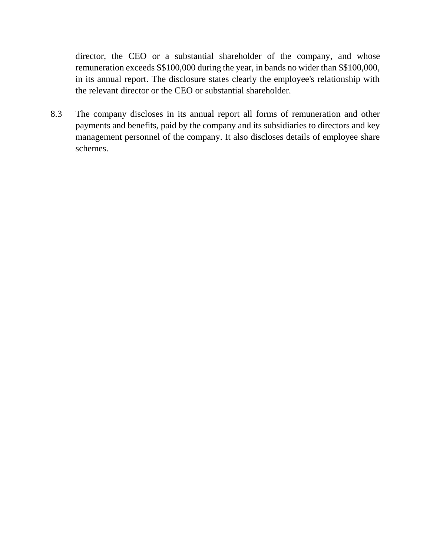director, the CEO or a substantial shareholder of the company, and whose remuneration exceeds S\$100,000 during the year, in bands no wider than S\$100,000, in its annual report. The disclosure states clearly the employee's relationship with the relevant director or the CEO or substantial shareholder.

8.3 The company discloses in its annual report all forms of remuneration and other payments and benefits, paid by the company and its subsidiaries to directors and key management personnel of the company. It also discloses details of employee share schemes.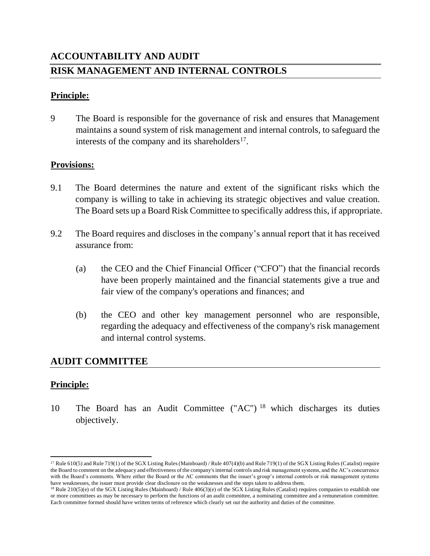# **ACCOUNTABILITY AND AUDIT RISK MANAGEMENT AND INTERNAL CONTROLS**

#### **Principle:**

9 The Board is responsible for the governance of risk and ensures that Management maintains a sound system of risk management and internal controls, to safeguard the interests of the company and its shareholders $^{17}$ .

#### **Provisions:**

- 9.1 The Board determines the nature and extent of the significant risks which the company is willing to take in achieving its strategic objectives and value creation. The Board sets up a Board Risk Committee to specifically address this, if appropriate.
- 9.2 The Board requires and discloses in the company's annual report that it has received assurance from:
	- (a) the CEO and the Chief Financial Officer ("CFO") that the financial records have been properly maintained and the financial statements give a true and fair view of the company's operations and finances; and
	- (b) the CEO and other key management personnel who are responsible, regarding the adequacy and effectiveness of the company's risk management and internal control systems.

#### **AUDIT COMMITTEE**

#### **Principle:**

 $\overline{\phantom{a}}$ 

10 The Board has an Audit Committee ("AC") <sup>18</sup> which discharges its duties objectively.

<sup>17</sup> Rule 610(5) and Rule 719(1) of the SGX Listing Rules (Mainboard) / Rule 407(4)(b) and Rule 719(1) of the SGX Listing Rules (Catalist) require the Board to comment on the adequacy and effectiveness of the company's internal controls and risk management systems, and the AC's concurrence with the Board's comments. Where either the Board or the AC comments that the issuer's group's internal controls or risk management systems have weaknesses, the issuer must provide clear disclosure on the weaknesses and the steps taken to address them.

<sup>18</sup> Rule 210(5)(e) of the SGX Listing Rules (Mainboard) / Rule 406(3)(e) of the SGX Listing Rules (Catalist) requires companies to establish one or more committees as may be necessary to perform the functions of an audit committee, a nominating committee and a remuneration committee. Each committee formed should have written terms of reference which clearly set out the authority and duties of the committee.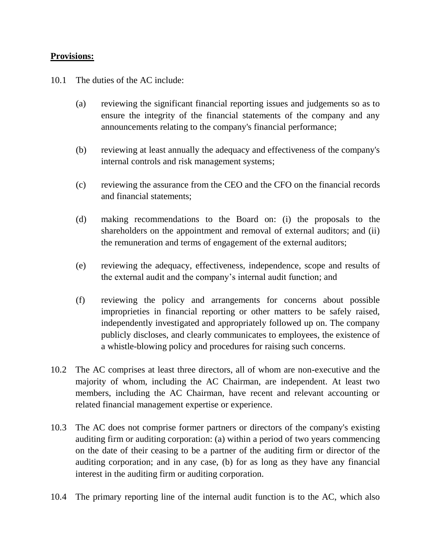#### **Provisions:**

10.1 The duties of the AC include:

- (a) reviewing the significant financial reporting issues and judgements so as to ensure the integrity of the financial statements of the company and any announcements relating to the company's financial performance;
- (b) reviewing at least annually the adequacy and effectiveness of the company's internal controls and risk management systems;
- (c) reviewing the assurance from the CEO and the CFO on the financial records and financial statements;
- (d) making recommendations to the Board on: (i) the proposals to the shareholders on the appointment and removal of external auditors; and (ii) the remuneration and terms of engagement of the external auditors;
- (e) reviewing the adequacy, effectiveness, independence, scope and results of the external audit and the company's internal audit function; and
- (f) reviewing the policy and arrangements for concerns about possible improprieties in financial reporting or other matters to be safely raised, independently investigated and appropriately followed up on. The company publicly discloses, and clearly communicates to employees, the existence of a whistle-blowing policy and procedures for raising such concerns.
- 10.2 The AC comprises at least three directors, all of whom are non-executive and the majority of whom, including the AC Chairman, are independent. At least two members, including the AC Chairman, have recent and relevant accounting or related financial management expertise or experience.
- 10.3 The AC does not comprise former partners or directors of the company's existing auditing firm or auditing corporation: (a) within a period of two years commencing on the date of their ceasing to be a partner of the auditing firm or director of the auditing corporation; and in any case, (b) for as long as they have any financial interest in the auditing firm or auditing corporation.
- 10.4 The primary reporting line of the internal audit function is to the AC, which also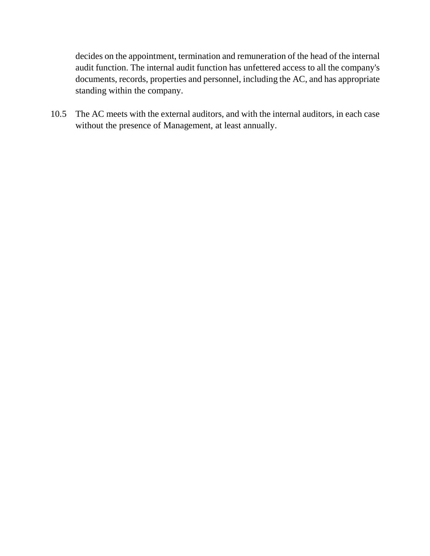decides on the appointment, termination and remuneration of the head of the internal audit function. The internal audit function has unfettered access to all the company's documents, records, properties and personnel, including the AC, and has appropriate standing within the company.

10.5 The AC meets with the external auditors, and with the internal auditors, in each case without the presence of Management, at least annually.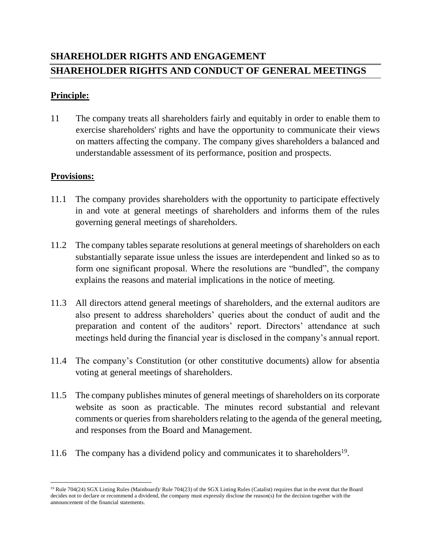# **SHAREHOLDER RIGHTS AND ENGAGEMENT SHAREHOLDER RIGHTS AND CONDUCT OF GENERAL MEETINGS**

#### **Principle:**

11 The company treats all shareholders fairly and equitably in order to enable them to exercise shareholders' rights and have the opportunity to communicate their views on matters affecting the company. The company gives shareholders a balanced and understandable assessment of its performance, position and prospects.

- 11.1 The company provides shareholders with the opportunity to participate effectively in and vote at general meetings of shareholders and informs them of the rules governing general meetings of shareholders.
- 11.2 The company tables separate resolutions at general meetings of shareholders on each substantially separate issue unless the issues are interdependent and linked so as to form one significant proposal. Where the resolutions are "bundled", the company explains the reasons and material implications in the notice of meeting.
- 11.3 All directors attend general meetings of shareholders, and the external auditors are also present to address shareholders' queries about the conduct of audit and the preparation and content of the auditors' report. Directors' attendance at such meetings held during the financial year is disclosed in the company's annual report.
- 11.4 The company's Constitution (or other constitutive documents) allow for absentia voting at general meetings of shareholders.
- 11.5 The company publishes minutes of general meetings of shareholders on its corporate website as soon as practicable. The minutes record substantial and relevant comments or queries from shareholders relating to the agenda of the general meeting, and responses from the Board and Management.
- 11.6 The company has a dividend policy and communicates it to shareholders<sup>19</sup>.

 $\overline{\phantom{a}}$ <sup>19</sup> Rule 704(24) SGX Listing Rules (Mainboard)/ Rule 704(23) of the SGX Listing Rules (Catalist) requires that in the event that the Board decides not to declare or recommend a dividend, the company must expressly disclose the reason(s) for the decision together with the announcement of the financial statements.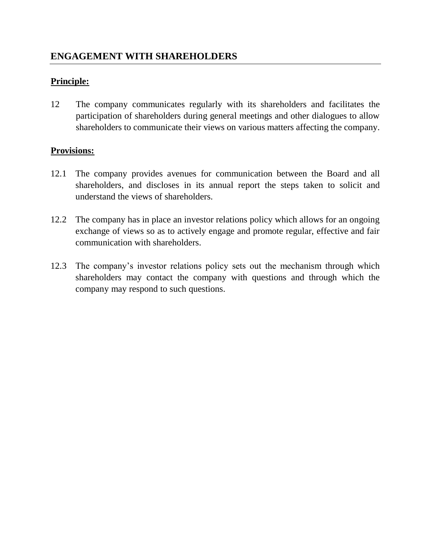## **Principle:**

12 The company communicates regularly with its shareholders and facilitates the participation of shareholders during general meetings and other dialogues to allow shareholders to communicate their views on various matters affecting the company.

- 12.1 The company provides avenues for communication between the Board and all shareholders, and discloses in its annual report the steps taken to solicit and understand the views of shareholders.
- 12.2 The company has in place an investor relations policy which allows for an ongoing exchange of views so as to actively engage and promote regular, effective and fair communication with shareholders.
- 12.3 The company's investor relations policy sets out the mechanism through which shareholders may contact the company with questions and through which the company may respond to such questions.